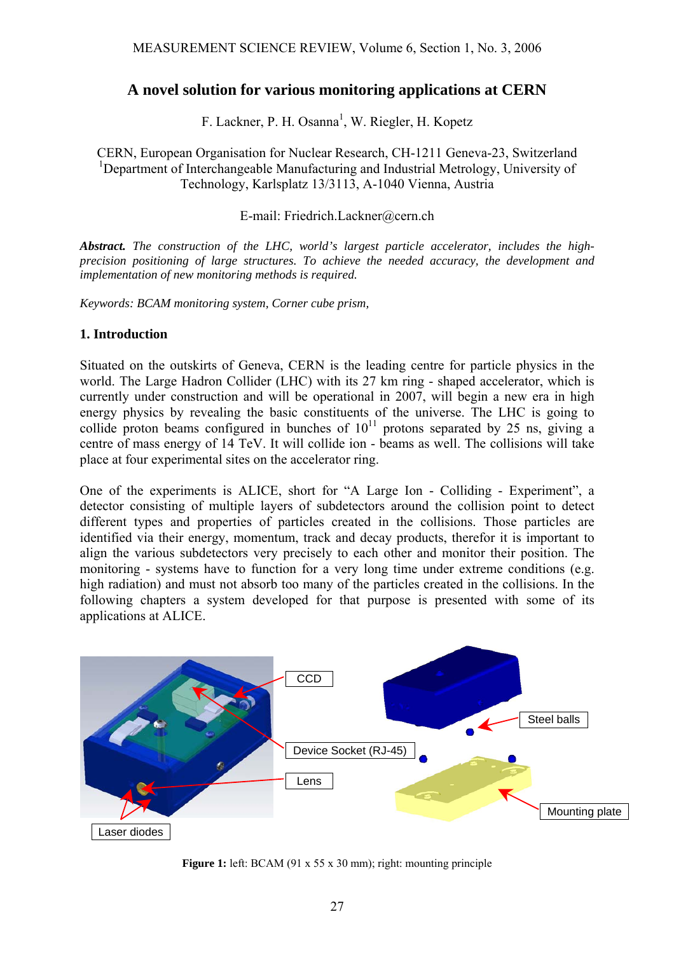# **A novel solution for various monitoring applications at CERN**

F. Lackner, P. H. Osanna<sup>1</sup>, W. Riegler, H. Kopetz

CERN, European Organisation for Nuclear Research, CH-1211 Geneva-23, Switzerland <sup>1</sup>Department of Interchangeable Manufacturing and Industrial Metrology, University of Technology, Karlsplatz 13/3113, A-1040 Vienna, Austria

#### E-mail: Friedrich.Lackner@cern.ch

*Abstract. The construction of the LHC, world's largest particle accelerator, includes the highprecision positioning of large structures. To achieve the needed accuracy, the development and implementation of new monitoring methods is required.* 

*Keywords: BCAM monitoring system, Corner cube prism,* 

#### **1. Introduction**

Situated on the outskirts of Geneva, CERN is the leading centre for particle physics in the world. The Large Hadron Collider (LHC) with its 27 km ring - shaped accelerator, which is currently under construction and will be operational in 2007, will begin a new era in high energy physics by revealing the basic constituents of the universe. The LHC is going to collide proton beams configured in bunches of  $10^{11}$  protons separated by 25 ns, giving a centre of mass energy of 14 TeV. It will collide ion - beams as well. The collisions will take place at four experimental sites on the accelerator ring.

One of the experiments is ALICE, short for "A Large Ion - Colliding - Experiment", a detector consisting of multiple layers of subdetectors around the collision point to detect different types and properties of particles created in the collisions. Those particles are identified via their energy, momentum, track and decay products, therefor it is important to align the various subdetectors very precisely to each other and monitor their position. The monitoring - systems have to function for a very long time under extreme conditions (e.g. high radiation) and must not absorb too many of the particles created in the collisions. In the following chapters a system developed for that purpose is presented with some of its applications at ALICE.



**Figure 1:** left: BCAM (91 x 55 x 30 mm); right: mounting principle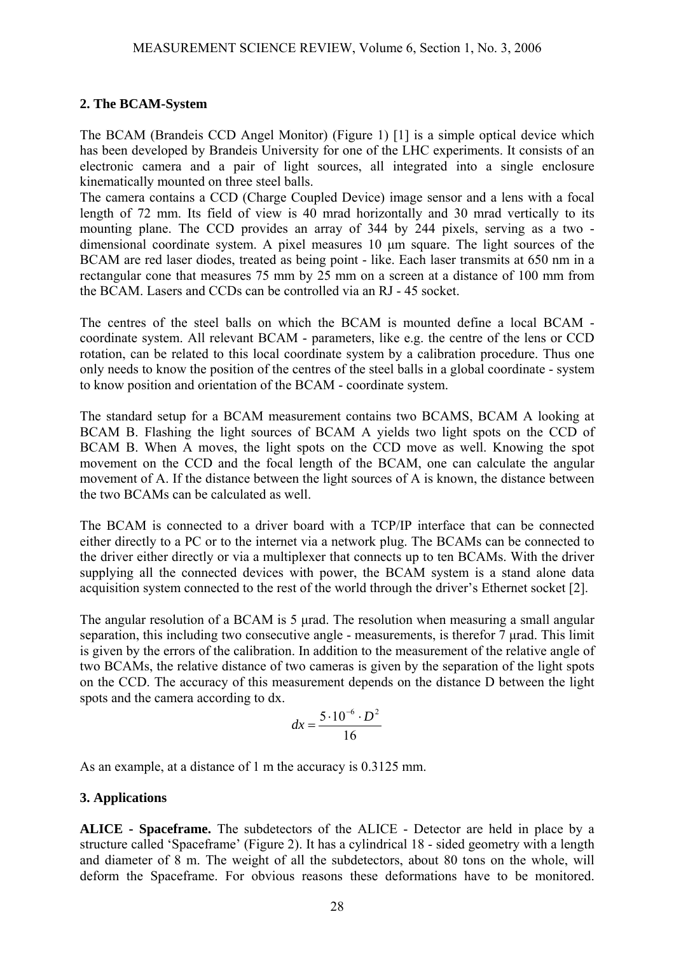## **2. The BCAM-System**

The BCAM (Brandeis CCD Angel Monitor) (Figure 1) [1] is a simple optical device which has been developed by Brandeis University for one of the LHC experiments. It consists of an electronic camera and a pair of light sources, all integrated into a single enclosure kinematically mounted on three steel balls.

The camera contains a CCD (Charge Coupled Device) image sensor and a lens with a focal length of 72 mm. Its field of view is 40 mrad horizontally and 30 mrad vertically to its mounting plane. The CCD provides an array of 344 by 244 pixels, serving as a two dimensional coordinate system. A pixel measures 10 µm square. The light sources of the BCAM are red laser diodes, treated as being point - like. Each laser transmits at 650 nm in a rectangular cone that measures 75 mm by 25 mm on a screen at a distance of 100 mm from the BCAM. Lasers and CCDs can be controlled via an RJ - 45 socket.

The centres of the steel balls on which the BCAM is mounted define a local BCAM coordinate system. All relevant BCAM - parameters, like e.g. the centre of the lens or CCD rotation, can be related to this local coordinate system by a calibration procedure. Thus one only needs to know the position of the centres of the steel balls in a global coordinate - system to know position and orientation of the BCAM - coordinate system.

The standard setup for a BCAM measurement contains two BCAMS, BCAM A looking at BCAM B. Flashing the light sources of BCAM A yields two light spots on the CCD of BCAM B. When A moves, the light spots on the CCD move as well. Knowing the spot movement on the CCD and the focal length of the BCAM, one can calculate the angular movement of A. If the distance between the light sources of A is known, the distance between the two BCAMs can be calculated as well.

The BCAM is connected to a driver board with a TCP/IP interface that can be connected either directly to a PC or to the internet via a network plug. The BCAMs can be connected to the driver either directly or via a multiplexer that connects up to ten BCAMs. With the driver supplying all the connected devices with power, the BCAM system is a stand alone data acquisition system connected to the rest of the world through the driver's Ethernet socket [2].

The angular resolution of a BCAM is 5 urad. The resolution when measuring a small angular separation, this including two consecutive angle - measurements, is therefor 7 urad. This limit is given by the errors of the calibration. In addition to the measurement of the relative angle of two BCAMs, the relative distance of two cameras is given by the separation of the light spots on the CCD. The accuracy of this measurement depends on the distance D between the light spots and the camera according to dx.

$$
dx = \frac{5 \cdot 10^{-6} \cdot D^2}{16}
$$

As an example, at a distance of 1 m the accuracy is 0.3125 mm.

### **3. Applications**

**ALICE - Spaceframe.** The subdetectors of the ALICE - Detector are held in place by a structure called 'Spaceframe' (Figure 2). It has a cylindrical 18 - sided geometry with a length and diameter of 8 m. The weight of all the subdetectors, about 80 tons on the whole, will deform the Spaceframe. For obvious reasons these deformations have to be monitored.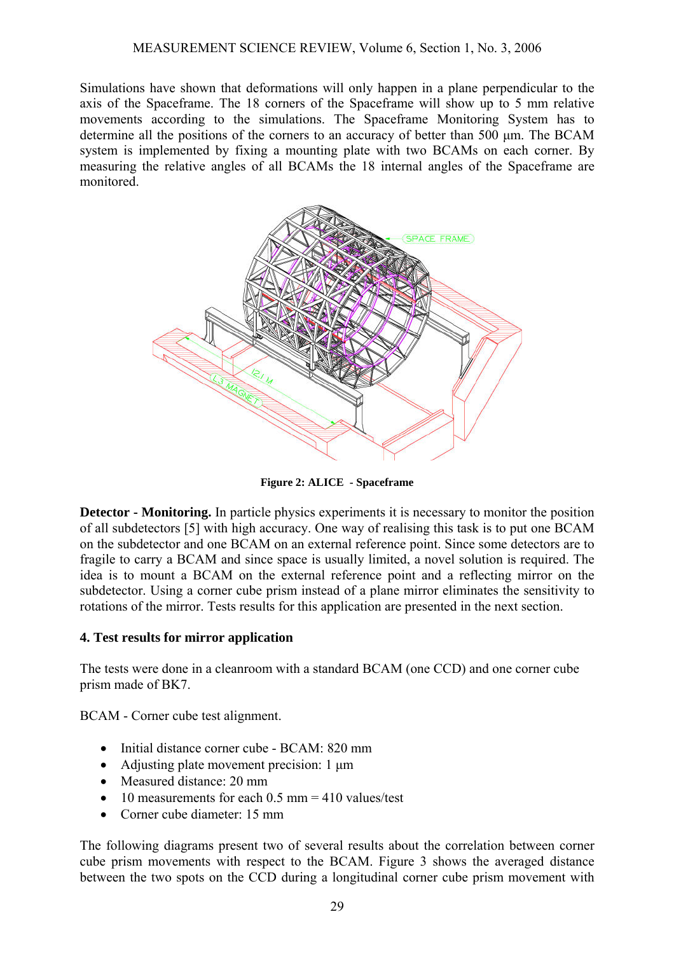Simulations have shown that deformations will only happen in a plane perpendicular to the axis of the Spaceframe. The 18 corners of the Spaceframe will show up to 5 mm relative movements according to the simulations. The Spaceframe Monitoring System has to determine all the positions of the corners to an accuracy of better than 500 µm. The BCAM system is implemented by fixing a mounting plate with two BCAMs on each corner. By measuring the relative angles of all BCAMs the 18 internal angles of the Spaceframe are monitored.



**Figure 2: ALICE - Spaceframe**

**Detector - Monitoring.** In particle physics experiments it is necessary to monitor the position of all subdetectors [5] with high accuracy. One way of realising this task is to put one BCAM on the subdetector and one BCAM on an external reference point. Since some detectors are to fragile to carry a BCAM and since space is usually limited, a novel solution is required. The idea is to mount a BCAM on the external reference point and a reflecting mirror on the subdetector. Using a corner cube prism instead of a plane mirror eliminates the sensitivity to rotations of the mirror. Tests results for this application are presented in the next section.

### **4. Test results for mirror application**

The tests were done in a cleanroom with a standard BCAM (one CCD) and one corner cube prism made of BK7.

BCAM - Corner cube test alignment.

- Initial distance corner cube BCAM: 820 mm
- Adjusting plate movement precision: 1 um
- Measured distance: 20 mm
- 10 measurements for each  $0.5$  mm = 410 values/test
- Corner cube diameter: 15 mm

The following diagrams present two of several results about the correlation between corner cube prism movements with respect to the BCAM. Figure 3 shows the averaged distance between the two spots on the CCD during a longitudinal corner cube prism movement with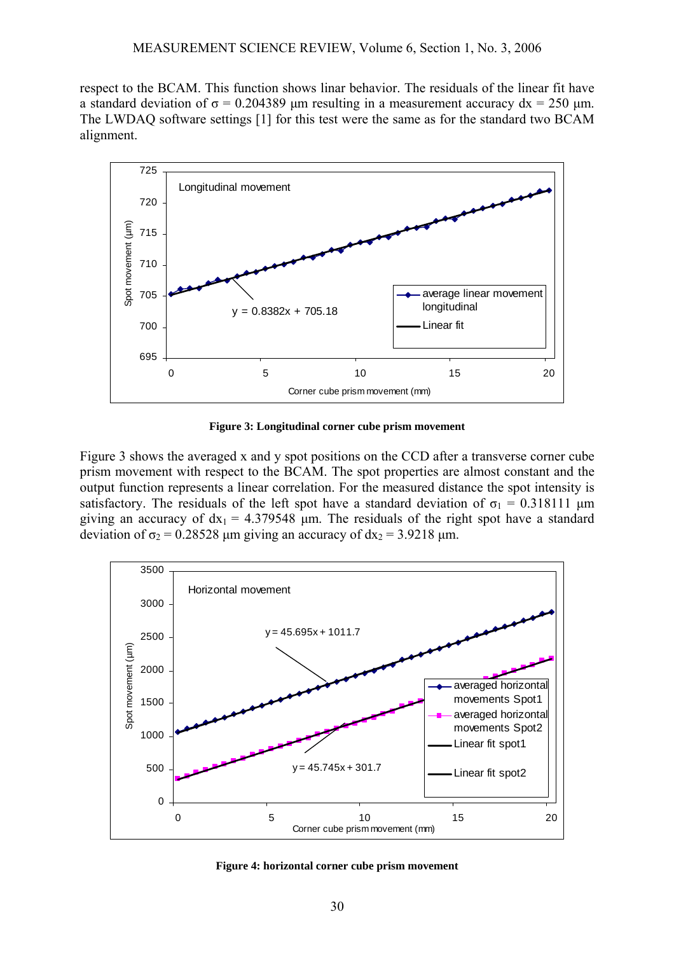respect to the BCAM. This function shows linar behavior. The residuals of the linear fit have a standard deviation of  $\sigma$  = 0.204389 μm resulting in a measurement accuracy dx = 250 μm. The LWDAQ software settings [1] for this test were the same as for the standard two BCAM alignment.



**Figure 3: Longitudinal corner cube prism movement** 

Figure 3 shows the averaged x and y spot positions on the CCD after a transverse corner cube prism movement with respect to the BCAM. The spot properties are almost constant and the output function represents a linear correlation. For the measured distance the spot intensity is satisfactory. The residuals of the left spot have a standard deviation of  $\sigma_1 = 0.318111$  µm giving an accuracy of  $dx_1 = 4.379548$  µm. The residuals of the right spot have a standard deviation of  $\sigma_2$  = 0.28528 µm giving an accuracy of  $dx_2$  = 3.9218 µm.